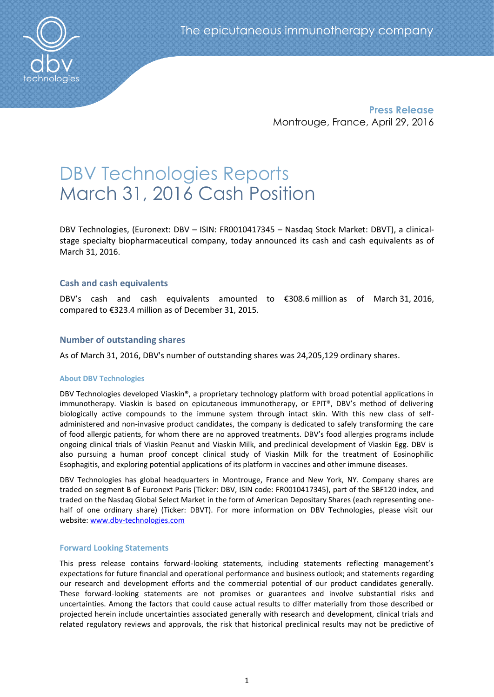

**Press Release** Montrouge, France, April 29, 2016

# DBV Technologies Reports March 31, 2016 Cash Position

DBV Technologies, (Euronext: DBV – ISIN: FR0010417345 – Nasdaq Stock Market: DBVT), a clinicalstage specialty biopharmaceutical company, today announced its cash and cash equivalents as of March 31, 2016.

# **Cash and cash equivalents**

DBV's cash and cash equivalents amounted to €308.6 million as of March 31, 2016, compared to €323.4 million as of December 31, 2015.

# **Number of outstanding shares**

As of March 31, 2016, DBV's number of outstanding shares was 24,205,129 ordinary shares.

## **About DBV Technologies**

DBV Technologies developed Viaskin®, a proprietary technology platform with broad potential applications in immunotherapy. Viaskin is based on epicutaneous immunotherapy, or EPIT®, DBV's method of delivering biologically active compounds to the immune system through intact skin. With this new class of selfadministered and non-invasive product candidates, the company is dedicated to safely transforming the care of food allergic patients, for whom there are no approved treatments. DBV's food allergies programs include ongoing clinical trials of Viaskin Peanut and Viaskin Milk, and preclinical development of Viaskin Egg. DBV is also pursuing a human proof concept clinical study of Viaskin Milk for the treatment of Eosinophilic Esophagitis, and exploring potential applications of its platform in vaccines and other immune diseases.

DBV Technologies has global headquarters in Montrouge, France and New York, NY. Company shares are traded on segment B of Euronext Paris (Ticker: DBV, ISIN code: FR0010417345), part of the SBF120 index, and traded on the Nasdaq Global Select Market in the form of American Depositary Shares (each representing onehalf of one ordinary share) (Ticker: DBVT). For more information on DBV Technologies, please visit our website: [www.dbv-technologies.com](http://www.dbv-technologies.com/)

## **Forward Looking Statements**

This press release contains forward-looking statements, including statements reflecting management's expectations for future financial and operational performance and business outlook; and statements regarding our research and development efforts and the commercial potential of our product candidates generally. These forward-looking statements are not promises or guarantees and involve substantial risks and uncertainties. Among the factors that could cause actual results to differ materially from those described or projected herein include uncertainties associated generally with research and development, clinical trials and related regulatory reviews and approvals, the risk that historical preclinical results may not be predictive of